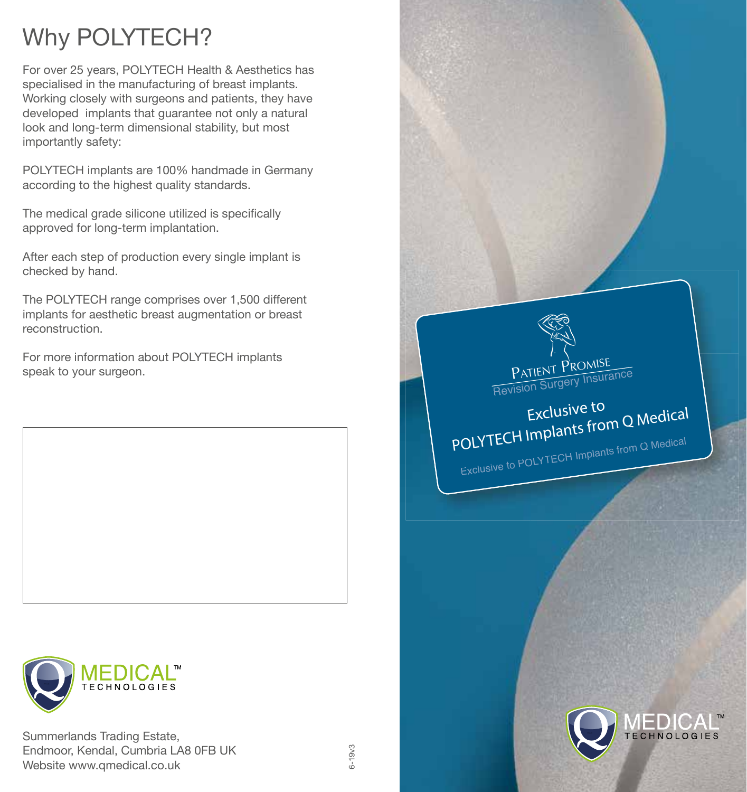# Why POLYTECH?

For over 25 years, POLYTECH Health & Aesthetics has specialised in the manufacturing of breast implants. Working closely with surgeons and patients, they have developed implants that guarantee not only a natural look and long-term dimensional stability, but most importantly safety:

POLYTECH implants are 100% handmade in Germany according to the highest quality standards.

The medical grade silicone utilized is specifically approved for long-term implantation.

After each step of production every single implant is checked by hand.

The POLYTECH range comprises over 1,500 different implants for aesthetic breast augmentation or breast reconstruction.

For more information about POLYTECH implants speak to your surgeon.



Summerlands Trading Estate, Endmoor, Kendal, Cumbria LA8 0FB UK Website www.qmedical.co.uk